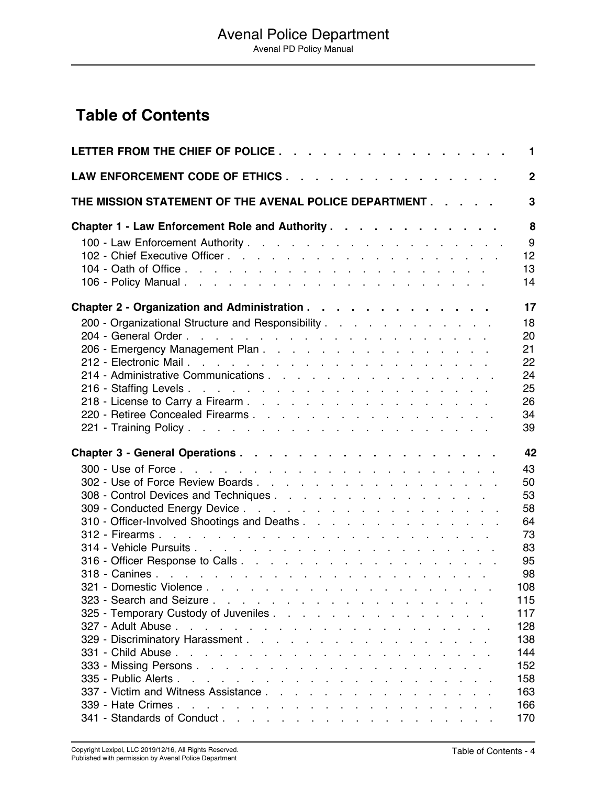## <span id="page-0-0"></span>**Table of Contents**

| LETTER FROM THE CHIEF OF POLICE                                                                       | $\mathbf{1}$   |
|-------------------------------------------------------------------------------------------------------|----------------|
| LAW ENFORCEMENT CODE OF ETHICS                                                                        | $\overline{2}$ |
| THE MISSION STATEMENT OF THE AVENAL POLICE DEPARTMENT                                                 | 3              |
| Chapter 1 - Law Enforcement Role and Authority                                                        | 8<br>9         |
|                                                                                                       | 12<br>13<br>14 |
| Chapter 2 - Organization and Administration                                                           | 17             |
| 200 - Organizational Structure and Responsibility                                                     | 18             |
|                                                                                                       | 20             |
|                                                                                                       | 21             |
|                                                                                                       | 22             |
| 214 - Administrative Communications                                                                   | 24             |
|                                                                                                       | 25             |
|                                                                                                       | 26             |
| 220 - Retiree Concealed Firearms.                                                                     | 34             |
|                                                                                                       | 39             |
|                                                                                                       | 42             |
|                                                                                                       | 43             |
|                                                                                                       | 50             |
| 308 - Control Devices and Techniques                                                                  | 53             |
|                                                                                                       | 58             |
| 310 - Officer-Involved Shootings and Deaths                                                           | 64             |
|                                                                                                       | 73             |
|                                                                                                       | 83             |
|                                                                                                       | 95             |
|                                                                                                       | 98             |
|                                                                                                       | 108            |
|                                                                                                       | 115            |
| 325 - Temporary Custody of Juveniles                                                                  | 117            |
|                                                                                                       | 128            |
|                                                                                                       | 138            |
|                                                                                                       | 144            |
|                                                                                                       | 152            |
|                                                                                                       | 158            |
|                                                                                                       | 163            |
| 339 - Hate Crimes.<br>the contract of the contract of the contract of the contract of the contract of | 166            |
|                                                                                                       | 170            |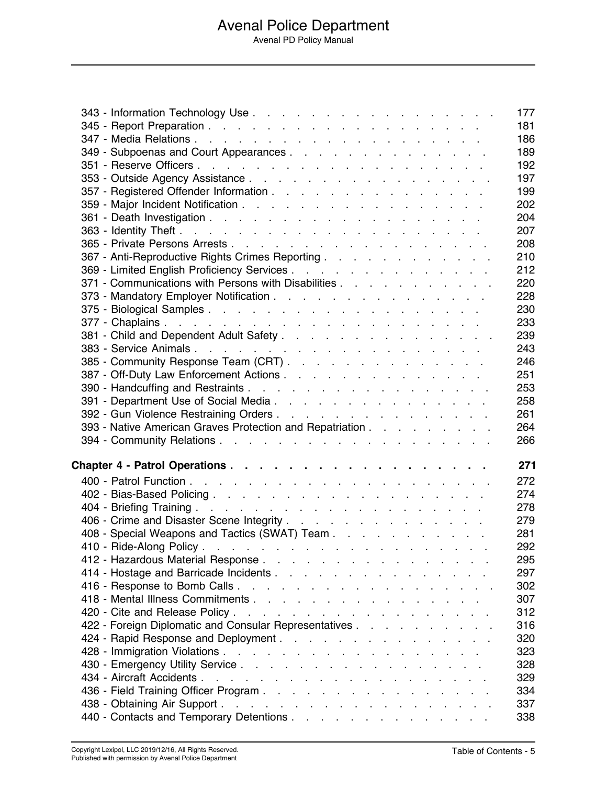343 - Information Technology Use . . . . . . . . . . . . . . . . . 177 345 - Report Preparation . . . . . . . . . . . . . . . . . . . 181 347 - Media Relations . . . . . . . . . . . . . . . . . . . . 186 349 - Subpoenas and Court Appearances . . . . . . . . . . . . . . . . . 189 351 - Reserve Officers . . . . . . . . . . . . . . . . . . . . 192 353 - Outside Agency Assistance . . . . . . . . . . . . . . . . . 197 357 - Registered Offender Information . . . . . . . . . . . . . . . 199 359 - Major Incident Notification . . . . . . . . . . . . . . . . . 202 361 - Death Investigation . . . . . . . . . . . . . . . . . . . 204 363 - Identity Theft . . . . . . . . . . . . . . . . . . . . . 207 365 - Private Persons Arrests . . . . . . . . . . . . . . . . . . 208 367 - Anti-Reproductive Rights Crimes Reporting . . . . . . . . . . . . . . 210 369 - Limited English Proficiency Services . . . . . . . . . . . . . . 212 371 - Communications with Persons with Disabilities . . . . . . . . . . . 220 373 - Mandatory Employer Notification . . . . . . . . . . . . . . . 228 375 - Biological Samples . . . . . . . . . . . . . . . . . . . 230 377 - Chaplains . . . . . . . . . . . . . . . . . . . . . . 233 381 - Child and Dependent Adult Safety . . . . . . . . . . . . . . . . 239 383 - Service Animals . . . . . . . . . . . . . . . . . . . . 243 385 - Community Response Team (CRT) . . . . . . . . . . . . . . . . 246 387 - Off-Duty Law Enforcement Actions . . . . . . . . . . . . . . 251 390 - Handcuffing and Restraints . . . . . . . . . . . . . . . . . 253 391 - Department Use of Social Media . . . . . . . . . . . . . . . 258 392 - Gun Violence Restraining Orders . . . . . . . . . . . . . . . 261 393 - Native American Graves Protection and Repatriation . . . . . . . . . 264 394 - Community Relations . . . . . . . . . . . . . . . . . . . 266 **Chapter 4 - Patrol Operations . . . . . . . . . . . . . . . . . . 271** 400 - Patrol Function . . . . . . . . . . . . . . . . . . . . . 272 402 - Bias-Based Policing . . . . . . . . . . . . . . . . . . . 274 404 - Briefing Training . . . . . . . . . . . . . . . . . . . . 278 406 - Crime and Disaster Scene Integrity . . . . . . . . . . . . . . 279 408 - Special Weapons and Tactics (SWAT) Team . . . . . . . . . . . . . 281 410 - Ride-Along Policy . . . . . . . . . . . . . . . . . . . . 292 412 - Hazardous Material Response . . . . . . . . . . . . . . . . 295 414 - Hostage and Barricade Incidents . . . . . . . . . . . . . . . 297 416 - Response to Bomb Calls . . . . . . . . . . . . . . . . . . 302 418 - Mental Illness Commitments . . . . . . . . . . . . . . . . 307 420 - Cite and Release Policy . . . . . . . . . . . . . . . . . . 312 422 - Foreign Diplomatic and Consular Representatives . . . . . . . . . . 316 424 - Rapid Response and Deployment . . . . . . . . . . . . . . . . . . 320 428 - Immigration Violations . . . . . . . . . . . . . . . . . . 323 430 - Emergency Utility Service . . . . . . . . . . . . . . . . . 328 434 - Aircraft Accidents . . . . . . . . . . . . . . . . . . . . 329 436 - Field Training Officer Program . . . . . . . . . . . . . . . . 334 438 - Obtaining Air Support . . . . . . . . . . . . . . . . . . . 337 440 - Contacts and Temporary Detentions . . . . . . . . . . . . . . 338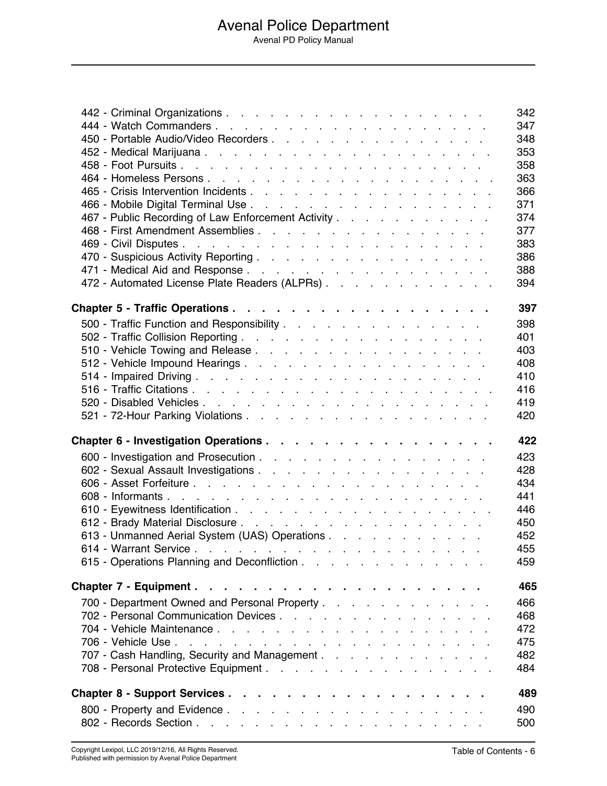|                                                    | 342 |
|----------------------------------------------------|-----|
|                                                    | 347 |
| 450 - Portable Audio/Video Recorders               | 348 |
|                                                    | 353 |
|                                                    | 358 |
|                                                    | 363 |
|                                                    | 366 |
|                                                    | 371 |
| 467 - Public Recording of Law Enforcement Activity | 374 |
|                                                    | 377 |
|                                                    | 383 |
|                                                    | 386 |
|                                                    | 388 |
| 472 - Automated License Plate Readers (ALPRs)      | 394 |
|                                                    | 397 |
| 500 - Traffic Function and Responsibility          | 398 |
|                                                    | 401 |
|                                                    | 403 |
| 512 - Vehicle Impound Hearings.                    | 408 |
|                                                    | 410 |
|                                                    | 416 |
|                                                    | 419 |
|                                                    | 420 |
| Chapter 6 - Investigation Operations               | 422 |
|                                                    | 423 |
|                                                    | 428 |
|                                                    | 434 |
|                                                    | 441 |
|                                                    | 446 |
|                                                    | 450 |
| 613 - Unmanned Aerial System (UAS) Operations      | 452 |
|                                                    | 455 |
|                                                    | 459 |
|                                                    | 465 |
|                                                    |     |
| 700 - Department Owned and Personal Property       | 466 |
| 702 - Personal Communication Devices               | 468 |
|                                                    | 472 |
|                                                    | 475 |
| 707 - Cash Handling, Security and Management       | 482 |
|                                                    | 484 |
|                                                    | 489 |
|                                                    | 490 |
|                                                    | 500 |